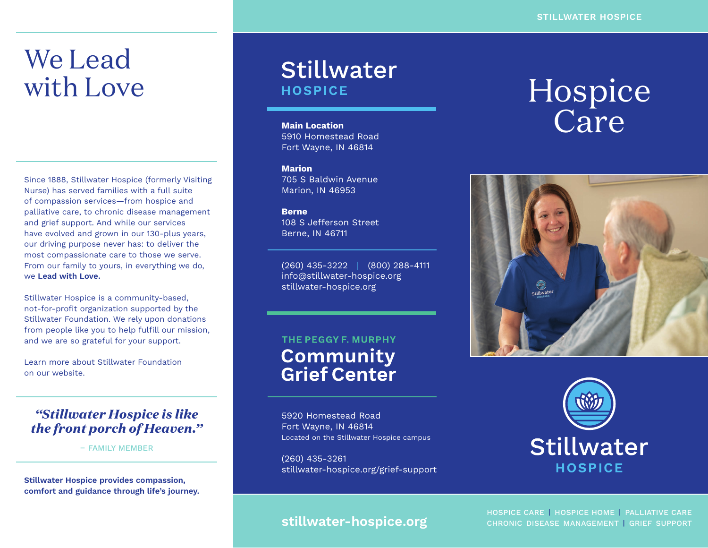# We Lead with Love

Since 1888, Stillwater Hospice (formerly Visiting Nurse) has served families with a full suite of compassion services—from hospice and palliative care, to chronic disease management and grief support. And while our services have evolved and grown in our 130-plus years, our driving purpose never has: to deliver the most compassionate care to those we serve. From our family to yours, in everything we do, we **Lead with Love.**

Stillwater Hospice is a community-based, not-for-profit organization supported by the Stillwater Foundation. We rely upon donations from people like you to help fulfill our mission, and we are so grateful for your support.

Learn more about Stillwater Foundation on our website.

### *"Stillwater Hospice is like the front porch of Heaven."*

– FAMILY MEMBER

**Stillwater Hospice provides compassion, comfort and guidance through life's journey.**

### **Stillwater HOSPICE**

**Main Location** 5910 Homestead Road Fort Wayne, IN 46814

#### **Marion** 705 S Baldwin Avenue Marion, IN 46953

**Berne** 108 S Jefferson Street Berne, IN 46711

(260) 435-3222 | (800) 288-4111 info@stillwater-hospice.org stillwater-hospice.org

### THE PEGGY F. MURPHY **Community Grief Center**

5920 Homestead Road Fort Wayne, IN 46814 Located on the Stillwater Hospice campus

(260) 435-3261 stillwater-hospice.org/grief-support

# Hospice Care





### **stillwater-hospice.org**

HOSPICE CARE | HOSPICE HOME | PALLIATIVE CARE CHRONIC DISEASE MANAGEMENT | GRIEF SUPPORT